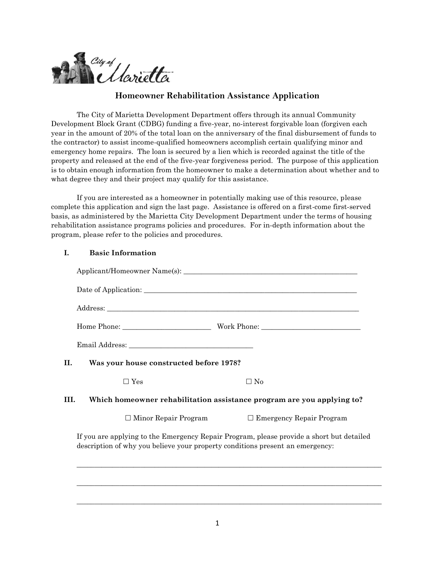

# **Homeowner Rehabilitation Assistance Application**

The City of Marietta Development Department offers through its annual Community Development Block Grant (CDBG) funding a five-year, no-interest forgivable loan (forgiven each year in the amount of 20% of the total loan on the anniversary of the final disbursement of funds to the contractor) to assist income-qualified homeowners accomplish certain qualifying minor and emergency home repairs. The loan is secured by a lien which is recorded against the title of the property and released at the end of the five-year forgiveness period. The purpose of this application is to obtain enough information from the homeowner to make a determination about whether and to what degree they and their project may qualify for this assistance.

If you are interested as a homeowner in potentially making use of this resource, please complete this application and sign the last page. Assistance is offered on a first-come first-served basis, as administered by the Marietta City Development Department under the terms of housing rehabilitation assistance programs policies and procedures. For in-depth information about the program, please refer to the policies and procedures.

### **I. Basic Information**

| H.  | Was your house constructed before 1978?                                                                                                                                   |                                                                        |  |
|-----|---------------------------------------------------------------------------------------------------------------------------------------------------------------------------|------------------------------------------------------------------------|--|
|     | $\Box$ Yes                                                                                                                                                                | $\Box$ No                                                              |  |
| HL. |                                                                                                                                                                           | Which homeowner rehabilitation assistance program are you applying to? |  |
|     | $\Box$ Minor Repair Program                                                                                                                                               | $\Box$ Emergency Repair Program                                        |  |
|     | If you are applying to the Emergency Repair Program, please provide a short but detailed<br>description of why you believe your property conditions present an emergency: |                                                                        |  |
|     |                                                                                                                                                                           |                                                                        |  |

\_\_\_\_\_\_\_\_\_\_\_\_\_\_\_\_\_\_\_\_\_\_\_\_\_\_\_\_\_\_\_\_\_\_\_\_\_\_\_\_\_\_\_\_\_\_\_\_\_\_\_\_\_\_\_\_\_\_\_\_\_\_\_\_\_\_\_\_\_\_\_\_\_\_\_\_\_\_\_\_\_\_\_\_\_\_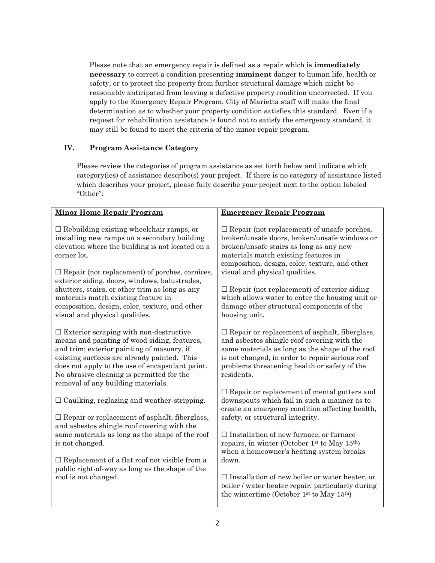Please note that an emergency repair is defined as a repair which is **immediately necessary** to correct a condition presenting **imminent** danger to human life, health or safety, or to protect the property from further structural damage which might be reasonably anticipated from leaving a defective property condition uncorrected. If you apply to the Emergency Repair Program, City of Marietta staff will make the final determination as to whether your property condition satisfies this standard. Even if a request for rehabilitation assistance is found not to satisfy the emergency standard, it may still be found to meet the criteria of the minor repair program.

### **IV. Program Assistance Category**

Please review the categories of program assistance as set forth below and indicate which category(ies) of assistance describe(s) your project. If there is no category of assistance listed which describes your project, please fully describe your project next to the option labeled "Other":

| <b>Minor Home Repair Program</b>                                                                                                                                                                                                                                                                                                                                                                                                                          | <b>Emergency Repair Program</b>                                                                                                                                                                                                                                                                                                                                                                                                                                                                                            |  |
|-----------------------------------------------------------------------------------------------------------------------------------------------------------------------------------------------------------------------------------------------------------------------------------------------------------------------------------------------------------------------------------------------------------------------------------------------------------|----------------------------------------------------------------------------------------------------------------------------------------------------------------------------------------------------------------------------------------------------------------------------------------------------------------------------------------------------------------------------------------------------------------------------------------------------------------------------------------------------------------------------|--|
| $\Box$ Rebuilding existing wheelchair ramps, or<br>installing new ramps on a secondary building<br>elevation where the building is not located on a<br>corner lot.<br>$\Box$ Repair (not replacement) of porches, cornices,<br>exterior siding, doors, windows, balustrades,<br>shutters, stairs, or other trim as long as any<br>materials match existing feature in<br>composition, design, color, texture, and other<br>visual and physical qualities. | $\Box$ Repair (not replacement) of unsafe porches,<br>broken/unsafe doors, broken/unsafe windows or<br>broken/unsafe stairs as long as any new<br>materials match existing features in<br>composition, design, color, texture, and other<br>visual and physical qualities.<br>$\Box$ Repair (not replacement) of exterior siding<br>which allows water to enter the housing unit or<br>damage other structural components of the<br>housing unit.                                                                          |  |
| $\Box$ Exterior scraping with non-destructive<br>means and painting of wood siding, features,<br>and trim; exterior painting of masonry, if<br>existing surfaces are already painted. This<br>does not apply to the use of encapsulant paint.<br>No abrasive cleaning is permitted for the<br>removal of any building materials.                                                                                                                          | $\Box$ Repair or replacement of asphalt, fiberglass,<br>and asbestos shingle roof covering with the<br>same materials as long as the shape of the roof<br>is not changed, in order to repair serious roof<br>problems threatening health or safety of the<br>residents.                                                                                                                                                                                                                                                    |  |
| $\Box$ Caulking, reglazing and weather-stripping.<br>$\Box$ Repair or replacement of asphalt, fiberglass,<br>and asbestos shingle roof covering with the<br>same materials as long as the shape of the roof<br>is not changed.<br>$\Box$ Replacement of a flat roof not visible from a<br>public right-of-way as long as the shape of the<br>roof is not changed.                                                                                         | $\Box$ Repair or replacement of mental gutters and<br>downspouts which fail in such a manner as to<br>create an emergency condition affecting health,<br>safety, or structural integrity.<br>$\square$ Installation of new furnace, or furnace<br>repairs, in winter (October 1st to May 15th)<br>when a homeowner's heating system breaks<br>down.<br>$\Box$ Installation of new boiler or water heater, or<br>boiler / water heater repair, particularly during<br>the wintertime (October 1st to May 15 <sup>th</sup> ) |  |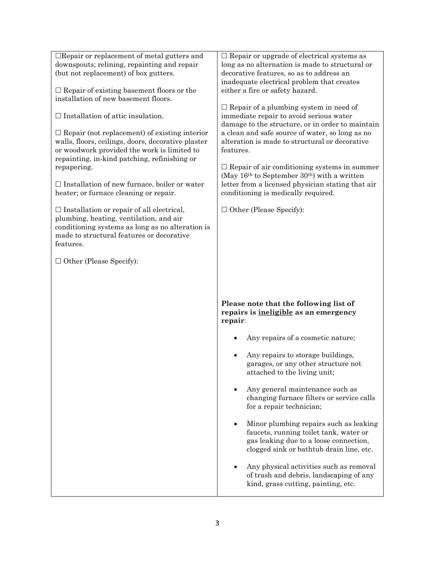| $\Box$ Repair or replacement of metal gutters and                                             | $\Box$ Repair or upgrade of electrical systems as                                        |
|-----------------------------------------------------------------------------------------------|------------------------------------------------------------------------------------------|
| downspouts; relining, repainting and repair                                                   | long as no alternation is made to structural or                                          |
| (but not replacement) of box gutters.                                                         | decorative features, so as to address an                                                 |
|                                                                                               | inadequate electrical problem that creates                                               |
| $\Box$ Repair of existing basement floors or the                                              | either a fire or safety hazard.                                                          |
| installation of new basement floors.                                                          |                                                                                          |
| $\Box$ Installation of attic insulation.                                                      | $\Box$ Repair of a plumbing system in need of<br>immediate repair to avoid serious water |
|                                                                                               | damage to the structure, or in order to maintain                                         |
| $\Box$ Repair (not replacement) of existing interior                                          | a clean and safe source of water, so long as no                                          |
| walls, floors, ceilings, doors, decorative plaster                                            | alteration is made to structural or decorative                                           |
| or woodwork provided the work is limited to                                                   | features.                                                                                |
| repainting, in-kind patching, refinishing or                                                  |                                                                                          |
| repapering.                                                                                   | $\Box$ Repair of air conditioning systems in summer                                      |
|                                                                                               | (May $16th$ to September 30 <sup>th</sup> ) with a written                               |
| $\Box$ Installation of new furnace, boiler or water                                           | letter from a licensed physician stating that air                                        |
| heater; or furnace cleaning or repair.                                                        | conditioning is medically required.                                                      |
|                                                                                               |                                                                                          |
| $\Box$ Installation or repair of all electrical,                                              | $\Box$ Other (Please Specify):                                                           |
| plumbing, heating, ventilation, and air                                                       |                                                                                          |
| conditioning systems as long as no alteration is<br>made to structural features or decorative |                                                                                          |
| features.                                                                                     |                                                                                          |
|                                                                                               |                                                                                          |
| $\Box$ Other (Please Specify):                                                                |                                                                                          |
|                                                                                               |                                                                                          |
|                                                                                               |                                                                                          |
|                                                                                               |                                                                                          |
|                                                                                               |                                                                                          |
|                                                                                               |                                                                                          |
|                                                                                               | Please note that the following list of                                                   |
|                                                                                               | repairs is <i>ineligible</i> as an emergency                                             |
|                                                                                               | repair:                                                                                  |
|                                                                                               | Any repairs of a cosmetic nature;                                                        |
|                                                                                               | Any repairs to storage buildings,                                                        |
|                                                                                               | garages, or any other structure not                                                      |
|                                                                                               | attached to the living unit;                                                             |
|                                                                                               |                                                                                          |
|                                                                                               | Any general maintenance such as                                                          |
|                                                                                               | changing furnace filters or service calls                                                |
|                                                                                               | for a repair technician;                                                                 |
|                                                                                               |                                                                                          |
|                                                                                               | Minor plumbing repairs such as leaking                                                   |
|                                                                                               | faucets, running toilet tank, water or                                                   |
|                                                                                               | gas leaking due to a loose connection,                                                   |
|                                                                                               | clogged sink or bathtub drain line, etc.                                                 |
|                                                                                               | Any physical activities such as removal                                                  |
|                                                                                               | of trash and debris, landscaping of any                                                  |
|                                                                                               | kind, grass cutting, painting, etc.                                                      |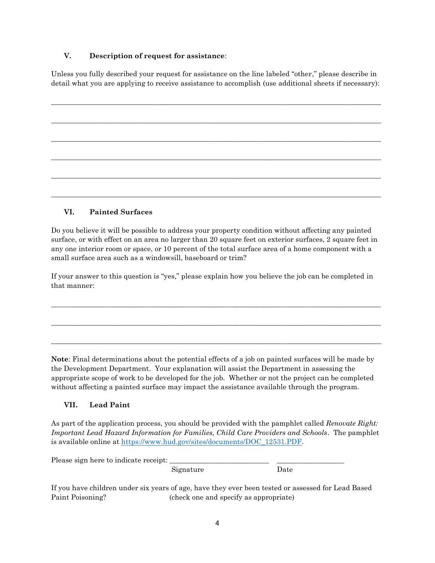### **V. Description of request for assistance**:

Unless you fully described your request for assistance on the line labeled "other," please describe in detail what you are applying to receive assistance to accomplish (use additional sheets if necessary):

# **VI. Painted Surfaces**

Do you believe it will be possible to address your property condition without affecting any painted surface, or with effect on an area no larger than 20 square feet on exterior surfaces, 2 square feet in any one interior room or space, or 10 percent of the total surface area of a home component with a small surface area such as a windowsill, baseboard or trim?

If your answer to this question is "yes," please explain how you believe the job can be completed in that manner:

 $\mathcal{L}_\mathcal{L} = \{ \mathcal{L}_\mathcal{L} = \{ \mathcal{L}_\mathcal{L} = \{ \mathcal{L}_\mathcal{L} = \{ \mathcal{L}_\mathcal{L} = \{ \mathcal{L}_\mathcal{L} = \{ \mathcal{L}_\mathcal{L} = \{ \mathcal{L}_\mathcal{L} = \{ \mathcal{L}_\mathcal{L} = \{ \mathcal{L}_\mathcal{L} = \{ \mathcal{L}_\mathcal{L} = \{ \mathcal{L}_\mathcal{L} = \{ \mathcal{L}_\mathcal{L} = \{ \mathcal{L}_\mathcal{L} = \{ \mathcal{L}_\mathcal{$ 

\_\_\_\_\_\_\_\_\_\_\_\_\_\_\_\_\_\_\_\_\_\_\_\_\_\_\_\_\_\_\_\_\_\_\_\_\_\_\_\_\_\_\_\_\_\_\_\_\_\_\_\_\_\_\_\_\_\_\_\_\_\_\_\_\_\_\_\_\_\_\_\_\_\_\_\_\_\_\_\_\_\_\_\_\_\_\_\_\_\_\_\_\_

\_\_\_\_\_\_\_\_\_\_\_\_\_\_\_\_\_\_\_\_\_\_\_\_\_\_\_\_\_\_\_\_\_\_\_\_\_\_\_\_\_\_\_\_\_\_\_\_\_\_\_\_\_\_\_\_\_\_\_\_\_\_\_\_\_\_\_\_\_\_\_\_\_\_\_\_\_\_\_\_\_\_\_\_\_\_\_\_\_\_\_\_\_

**Note**: Final determinations about the potential effects of a job on painted surfaces will be made by the Development Department. Your explanation will assist the Department in assessing the appropriate scope of work to be developed for the job. Whether or not the project can be completed without affecting a painted surface may impact the assistance available through the program.

# **VII. Lead Paint**

As part of the application process, you should be provided with the pamphlet called *Renovate Right: Important Lead Hazard Information for Families, Child Care Providers and Schools*. The pamphlet is available online at [https://www.hud.gov/sites/documents/DOC\\_12531.PDF.](https://www.hud.gov/sites/documents/DOC_12531.PDF)

| Please sign here to indicate receipt: |           |      |
|---------------------------------------|-----------|------|
|                                       | Signature | Date |

If you have children under six years of age, have they ever been tested or assessed for Lead Based Paint Poisoning? (check one and specify as appropriate)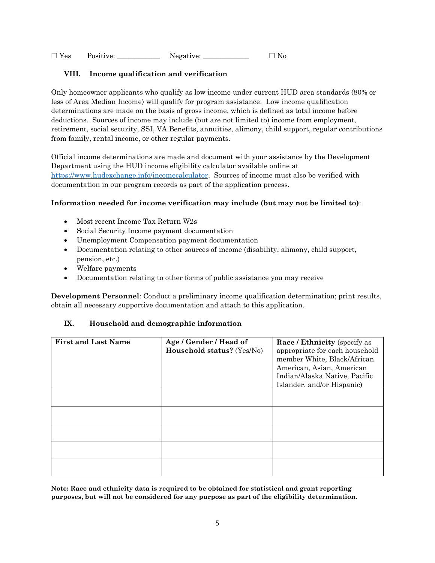$\square$  Yes Positive: Negative:  $\square$  No

### **VIII. Income qualification and verification**

Only homeowner applicants who qualify as low income under current HUD area standards (80% or less of Area Median Income) will qualify for program assistance. Low income qualification determinations are made on the basis of gross income, which is defined as total income before deductions. Sources of income may include (but are not limited to) income from employment, retirement, social security, SSI, VA Benefits, annuities, alimony, child support, regular contributions from family, rental income, or other regular payments.

Official income determinations are made and document with your assistance by the Development Department using the HUD income eligibility calculator available online at [https://www.hudexchange.info/incomecalculator.](https://www.hudexchange.info/incomecalculator) Sources of income must also be verified with documentation in our program records as part of the application process.

### **Information needed for income verification may include (but may not be limited to)**:

- Most recent Income Tax Return W2s
- Social Security Income payment documentation
- Unemployment Compensation payment documentation
- Documentation relating to other sources of income (disability, alimony, child support, pension, etc.)
- Welfare payments
- Documentation relating to other forms of public assistance you may receive

**Development Personnel**: Conduct a preliminary income qualification determination; print results, obtain all necessary supportive documentation and attach to this application.

### **IX. Household and demographic information**

| <b>First and Last Name</b> | Age / Gender / Head of<br>Household status? (Yes/No) | <b>Race / Ethnicity (specify as</b><br>appropriate for each household<br>member White, Black/African<br>American, Asian, American<br>Indian/Alaska Native, Pacific<br>Islander, and/or Hispanic) |
|----------------------------|------------------------------------------------------|--------------------------------------------------------------------------------------------------------------------------------------------------------------------------------------------------|
|                            |                                                      |                                                                                                                                                                                                  |
|                            |                                                      |                                                                                                                                                                                                  |
|                            |                                                      |                                                                                                                                                                                                  |
|                            |                                                      |                                                                                                                                                                                                  |
|                            |                                                      |                                                                                                                                                                                                  |

**Note: Race and ethnicity data is required to be obtained for statistical and grant reporting purposes, but will not be considered for any purpose as part of the eligibility determination.**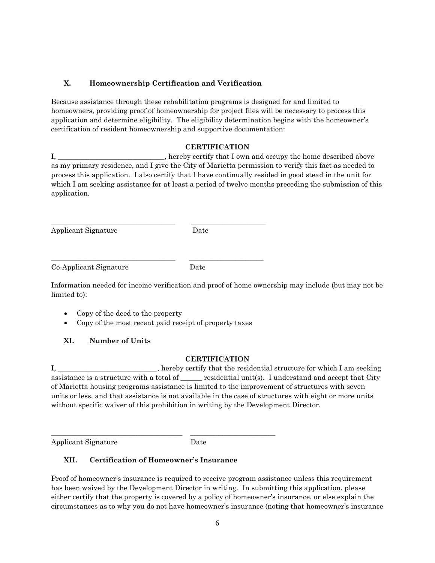### **X. Homeownership Certification and Verification**

Because assistance through these rehabilitation programs is designed for and limited to homeowners, providing proof of homeownership for project files will be necessary to process this application and determine eligibility. The eligibility determination begins with the homeowner's certification of resident homeownership and supportive documentation:

### **CERTIFICATION**

I, \_\_\_\_\_\_\_\_\_\_\_\_\_\_\_\_\_\_\_\_\_\_\_\_, hereby certify that I own and occupy the home described above as my primary residence, and I give the City of Marietta permission to verify this fact as needed to process this application. I also certify that I have continually resided in good stead in the unit for which I am seeking assistance for at least a period of twelve months preceding the submission of this application.

Applicant Signature Date

Co-Applicant Signature Date

Information needed for income verification and proof of home ownership may include (but may not be limited to):

- Copy of the deed to the property
- Copy of the most recent paid receipt of property taxes

\_\_\_\_\_\_\_\_\_\_\_\_\_\_\_\_\_\_\_\_\_\_\_\_\_\_\_\_\_\_\_\_\_\_\_ \_\_\_\_\_\_\_\_\_\_\_\_\_\_\_\_\_\_\_\_\_

\_\_\_\_\_\_\_\_\_\_\_\_\_\_\_\_\_\_\_\_\_\_\_\_\_\_\_\_\_\_\_\_\_\_\_ \_\_\_\_\_\_\_\_\_\_\_\_\_\_\_\_\_\_\_\_\_

## **XI. Number of Units**

### **CERTIFICATION**

I, the residential structure for which I am seeking assistance is a structure with a total of \_\_\_\_\_\_ residential unit(s). I understand and accept that City of Marietta housing programs assistance is limited to the improvement of structures with seven units or less, and that assistance is not available in the case of structures with eight or more units without specific waiver of this prohibition in writing by the Development Director.

Applicant Signature Date

## **XII. Certification of Homeowner's Insurance**

\_\_\_\_\_\_\_\_\_\_\_\_\_\_\_\_\_\_\_\_\_\_\_\_\_\_\_\_\_\_\_\_\_\_\_\_\_ \_\_\_\_\_\_\_\_\_\_\_\_\_\_\_\_\_\_\_\_\_\_\_\_

Proof of homeowner's insurance is required to receive program assistance unless this requirement has been waived by the Development Director in writing. In submitting this application, please either certify that the property is covered by a policy of homeowner's insurance, or else explain the circumstances as to why you do not have homeowner's insurance (noting that homeowner's insurance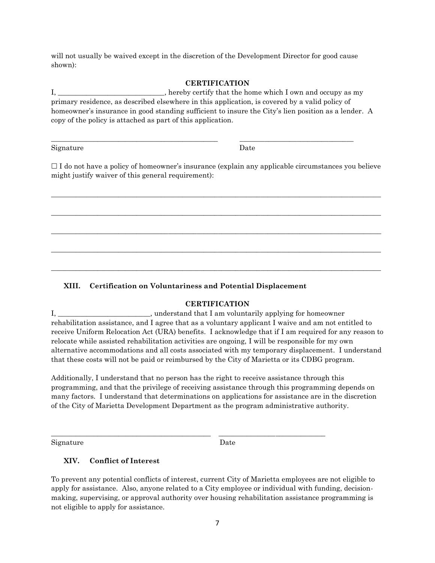will not usually be waived except in the discretion of the Development Director for good cause shown):

#### **CERTIFICATION**

I, \_\_\_\_\_\_\_\_\_\_\_\_\_\_\_\_\_\_\_\_\_\_, hereby certify that the home which I own and occupy as my primary residence, as described elsewhere in this application, is covered by a valid policy of homeowner's insurance in good standing sufficient to insure the City's lien position as a lender. A copy of the policy is attached as part of this application.

\_\_\_\_\_\_\_\_\_\_\_\_\_\_\_\_\_\_\_\_\_\_\_\_\_\_\_\_\_\_\_\_\_\_\_\_\_\_\_\_\_\_\_\_\_\_\_ \_\_\_\_\_\_\_\_\_\_\_\_\_\_\_\_\_\_\_\_\_\_\_\_\_\_\_\_\_\_\_\_

Signature Date

 $\Box$  I do not have a policy of homeowner's insurance (explain any applicable circumstances you believe might justify waiver of this general requirement):

\_\_\_\_\_\_\_\_\_\_\_\_\_\_\_\_\_\_\_\_\_\_\_\_\_\_\_\_\_\_\_\_\_\_\_\_\_\_\_\_\_\_\_\_\_\_\_\_\_\_\_\_\_\_\_\_\_\_\_\_\_\_\_\_\_\_\_\_\_\_\_\_\_\_\_\_\_\_\_\_\_\_\_\_\_\_\_\_\_\_\_\_\_

 $\mathcal{L}_\mathcal{L} = \{ \mathcal{L}_\mathcal{L} = \{ \mathcal{L}_\mathcal{L} = \{ \mathcal{L}_\mathcal{L} = \{ \mathcal{L}_\mathcal{L} = \{ \mathcal{L}_\mathcal{L} = \{ \mathcal{L}_\mathcal{L} = \{ \mathcal{L}_\mathcal{L} = \{ \mathcal{L}_\mathcal{L} = \{ \mathcal{L}_\mathcal{L} = \{ \mathcal{L}_\mathcal{L} = \{ \mathcal{L}_\mathcal{L} = \{ \mathcal{L}_\mathcal{L} = \{ \mathcal{L}_\mathcal{L} = \{ \mathcal{L}_\mathcal{$ 

\_\_\_\_\_\_\_\_\_\_\_\_\_\_\_\_\_\_\_\_\_\_\_\_\_\_\_\_\_\_\_\_\_\_\_\_\_\_\_\_\_\_\_\_\_\_\_\_\_\_\_\_\_\_\_\_\_\_\_\_\_\_\_\_\_\_\_\_\_\_\_\_\_\_\_\_\_\_\_\_\_\_\_\_\_\_\_\_\_\_\_\_\_

\_\_\_\_\_\_\_\_\_\_\_\_\_\_\_\_\_\_\_\_\_\_\_\_\_\_\_\_\_\_\_\_\_\_\_\_\_\_\_\_\_\_\_\_\_\_\_\_\_\_\_\_\_\_\_\_\_\_\_\_\_\_\_\_\_\_\_\_\_\_\_\_\_\_\_\_\_\_\_\_\_\_\_\_\_\_\_\_\_\_\_\_\_

\_\_\_\_\_\_\_\_\_\_\_\_\_\_\_\_\_\_\_\_\_\_\_\_\_\_\_\_\_\_\_\_\_\_\_\_\_\_\_\_\_\_\_\_\_\_\_\_\_\_\_\_\_\_\_\_\_\_\_\_\_\_\_\_\_\_\_\_\_\_\_\_\_\_\_\_\_\_\_\_\_\_\_\_\_\_\_\_\_\_\_\_\_

### **XIII. Certification on Voluntariness and Potential Displacement**

\_\_\_\_\_\_\_\_\_\_\_\_\_\_\_\_\_\_\_\_\_\_\_\_\_\_\_\_\_\_\_\_\_\_\_\_\_\_\_\_\_\_\_\_\_ \_\_\_\_\_\_\_\_\_\_\_\_\_\_\_\_\_\_\_\_\_\_\_\_\_\_\_\_\_\_

### **CERTIFICATION**

I, \_\_\_\_\_\_\_\_\_\_\_\_\_\_\_\_\_\_\_\_\_\_, understand that I am voluntarily applying for homeowner rehabilitation assistance, and I agree that as a voluntary applicant I waive and am not entitled to receive Uniform Relocation Act (URA) benefits. I acknowledge that if I am required for any reason to relocate while assisted rehabilitation activities are ongoing, I will be responsible for my own alternative accommodations and all costs associated with my temporary displacement. I understand that these costs will not be paid or reimbursed by the City of Marietta or its CDBG program.

Additionally, I understand that no person has the right to receive assistance through this programming, and that the privilege of receiving assistance through this programming depends on many factors. I understand that determinations on applications for assistance are in the discretion of the City of Marietta Development Department as the program administrative authority.

Signature Date

### **XIV. Conflict of Interest**

To prevent any potential conflicts of interest, current City of Marietta employees are not eligible to apply for assistance. Also, anyone related to a City employee or individual with funding, decisionmaking, supervising, or approval authority over housing rehabilitation assistance programming is not eligible to apply for assistance.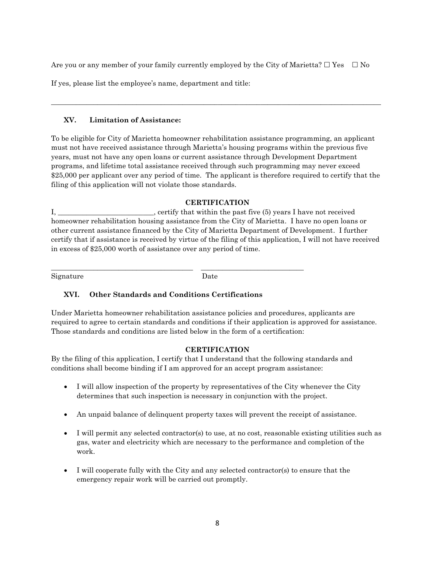Are you or any member of your family currently employed by the City of Marietta?  $\Box$  Yes  $\Box$  No

If yes, please list the employee's name, department and title:

#### **XV. Limitation of Assistance:**

To be eligible for City of Marietta homeowner rehabilitation assistance programming, an applicant must not have received assistance through Marietta's housing programs within the previous five years, must not have any open loans or current assistance through Development Department programs, and lifetime total assistance received through such programming may never exceed \$25,000 per applicant over any period of time. The applicant is therefore required to certify that the filing of this application will not violate those standards.

\_\_\_\_\_\_\_\_\_\_\_\_\_\_\_\_\_\_\_\_\_\_\_\_\_\_\_\_\_\_\_\_\_\_\_\_\_\_\_\_\_\_\_\_\_\_\_\_\_\_\_\_\_\_\_\_\_\_\_\_\_\_\_\_\_\_\_\_\_\_\_\_\_\_\_\_\_\_\_\_\_\_\_\_\_\_\_\_\_\_\_\_\_

#### **CERTIFICATION**

I, certify that within the past five (5) years I have not received homeowner rehabilitation housing assistance from the City of Marietta. I have no open loans or other current assistance financed by the City of Marietta Department of Development. I further certify that if assistance is received by virtue of the filing of this application, I will not have received in excess of \$25,000 worth of assistance over any period of time.

Signature Date

## **XVI. Other Standards and Conditions Certifications**

\_\_\_\_\_\_\_\_\_\_\_\_\_\_\_\_\_\_\_\_\_\_\_\_\_\_\_\_\_\_\_\_\_\_\_\_\_\_\_\_ \_\_\_\_\_\_\_\_\_\_\_\_\_\_\_\_\_\_\_\_\_\_\_\_\_\_\_\_\_

Under Marietta homeowner rehabilitation assistance policies and procedures, applicants are required to agree to certain standards and conditions if their application is approved for assistance. Those standards and conditions are listed below in the form of a certification:

### **CERTIFICATION**

By the filing of this application, I certify that I understand that the following standards and conditions shall become binding if I am approved for an accept program assistance:

- I will allow inspection of the property by representatives of the City whenever the City determines that such inspection is necessary in conjunction with the project.
- An unpaid balance of delinquent property taxes will prevent the receipt of assistance.
- I will permit any selected contractor(s) to use, at no cost, reasonable existing utilities such as gas, water and electricity which are necessary to the performance and completion of the work.
- I will cooperate fully with the City and any selected contractor(s) to ensure that the emergency repair work will be carried out promptly.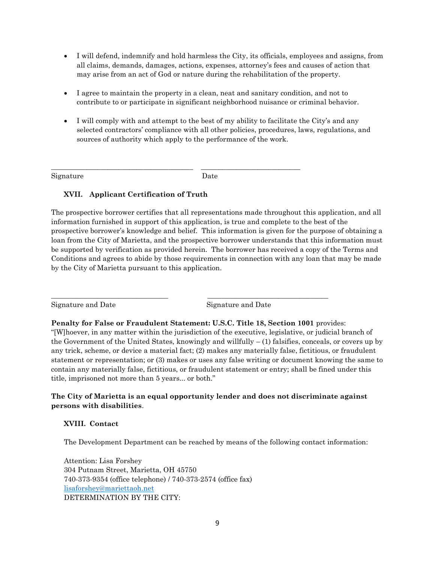- I will defend, indemnify and hold harmless the City, its officials, employees and assigns, from all claims, demands, damages, actions, expenses, attorney's fees and causes of action that may arise from an act of God or nature during the rehabilitation of the property.
- I agree to maintain the property in a clean, neat and sanitary condition, and not to contribute to or participate in significant neighborhood nuisance or criminal behavior.
- I will comply with and attempt to the best of my ability to facilitate the City's and any selected contractors' compliance with all other policies, procedures, laws, regulations, and sources of authority which apply to the performance of the work.

Signature Date

\_\_\_\_\_\_\_\_\_\_\_\_\_\_\_\_\_\_\_\_\_\_\_\_\_\_\_\_\_\_\_\_\_\_\_\_\_\_\_\_ \_\_\_\_\_\_\_\_\_\_\_\_\_\_\_\_\_\_\_\_\_\_\_\_\_\_\_\_

## **XVII. Applicant Certification of Truth**

The prospective borrower certifies that all representations made throughout this application, and all information furnished in support of this application, is true and complete to the best of the prospective borrower's knowledge and belief. This information is given for the purpose of obtaining a loan from the City of Marietta, and the prospective borrower understands that this information must be supported by verification as provided herein. The borrower has received a copy of the Terms and Conditions and agrees to abide by those requirements in connection with any loan that may be made by the City of Marietta pursuant to this application.

Signature and Date Signature and Date

**Penalty for False or Fraudulent Statement: U.S.C. Title 18, Section 1001** provides:

\_\_\_\_\_\_\_\_\_\_\_\_\_\_\_\_\_\_\_\_\_\_\_\_\_\_\_\_\_\_\_\_\_ \_\_\_\_\_\_\_\_\_\_\_\_\_\_\_\_\_\_\_\_\_\_\_\_\_\_\_\_\_\_\_\_\_\_

"[W]hoever, in any matter within the jurisdiction of the executive, legislative, or judicial branch of the Government of the United States, knowingly and willfully  $- (1)$  falsifies, conceals, or covers up by any trick, scheme, or device a material fact; (2) makes any materially false, fictitious, or fraudulent statement or representation; or (3) makes or uses any false writing or document knowing the same to contain any materially false, fictitious, or fraudulent statement or entry; shall be fined under this title, imprisoned not more than 5 years... or both."

### **The City of Marietta is an equal opportunity lender and does not discriminate against persons with disabilities**.

### **XVIII. Contact**

The Development Department can be reached by means of the following contact information:

Attention: Lisa Forshey 304 Putnam Street, Marietta, OH 45750 740-373-9354 (office telephone) / 740-373-2574 (office fax) [lisaforshey@mariettaoh.net](mailto:lisaforshey@mariettaoh.net) DETERMINATION BY THE CITY: